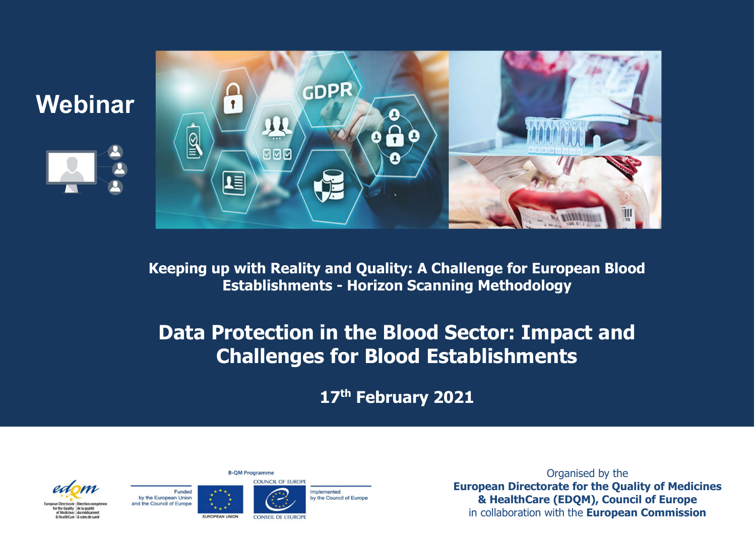

Webinar



## Data Protection in the Blood Sector: Impact and Challenges for Blood Establishments

17th February 2021









Organised by the European Directorate for the Quality of Medicines & HealthCare (EDQM), Council of Europe in collaboration with the European Commission